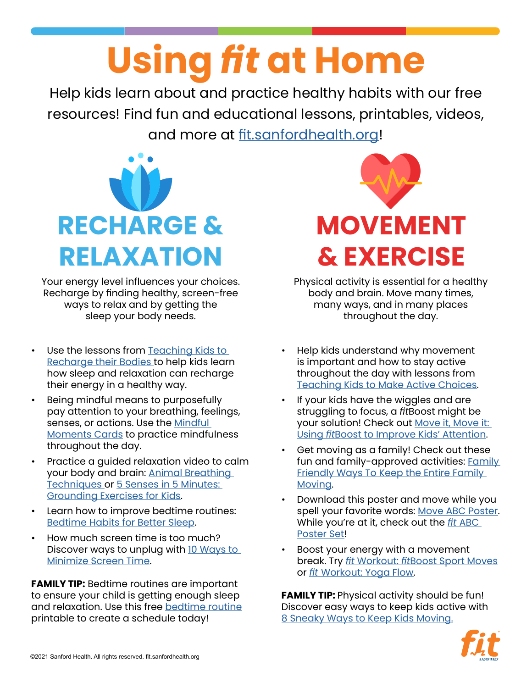## **Using** *fit* **at Home**

Help kids learn about and practice healthy habits with our free resources! Find fun and educational lessons, printables, videos, and more at [fit.sanfordhealth.org](http://fit.sanfordhealth.org)!



Your energy level influences your choices. Recharge by finding healthy, screen-free ways to relax and by getting the sleep your body needs.

- Use the lessons from Teaching Kids to [Recharge their Bodies](https://fit.sanfordhealth.org/units/u4-k2-teaching-kids-to-recharge-their-bodies) to help kids learn how sleep and relaxation can recharge their energy in a healthy way.
- Being mindful means to purposefully pay attention to your breathing, feelings, senses, or actions. Use the [Mindful](https://fit.sanfordhealth.org/resources/mindful-moments-printable)  **[Moments Cards](https://fit.sanfordhealth.org/resources/mindful-moments-printable) to practice mindfulness** throughout the day.
- Practice a guided relaxation video to calm your body and brain: [Animal Breathing](https://fit.sanfordhealth.org/resources/animal-breathing-techniques-video)  [Techniques](https://fit.sanfordhealth.org/resources/animal-breathing-techniques-video) or 5 Senses in 5 Minutes: [Grounding Exercises for Kids.](https://fit.sanfordhealth.org/resources/5-senses-in-5-minutes_grounding-exercise-for-kids-video)
- Learn how to improve bedtime routines: [Bedtime Habits for Better Sleep](https://fit.sanfordhealth.org/blog/bedtime-habits-for-better-sleep-article).
- How much screen time is too much? Discover ways to unplug with 10 Ways to [Minimize Screen Time](https://fit.sanfordhealth.org/blog/10-ways-to-minimize-screen-time-article).

**FAMILY TIP:** Bedtime routines are important to ensure your child is getting enough sleep and relaxation. Use this free [bedtime routine](https://fit.sanfordhealth.org/resources/u9l3-k5-bedtime-routine-printable) printable to create a schedule today!



Physical activity is essential for a healthy body and brain. Move many times, many ways, and in many places throughout the day.

- Help kids understand why movement is important and how to stay active throughout the day with lessons from [Teaching Kids to Make Active Choices.](https://fit.sanfordhealth.org/units/u5-k2-teaching-kids-to-make-active-choices)
- If your kids have the wiggles and are struggling to focus, a *fit*Boost might be your solution! Check out Move it, Move it: Using *fit*[Boost to Improve Kids' Attention](https://fit.sanfordhealth.org/blog/using-fitboost-at-home).
- Get moving as a family! Check out these fun and family-approved activities: Family [Friendly Ways To Keep the Entire Family](https://fit.sanfordhealth.org/blog/family-friendly-ways-to-keep-the-entire-family-moving-article)  [Moving.](https://fit.sanfordhealth.org/blog/family-friendly-ways-to-keep-the-entire-family-moving-article)
- Download this poster and move while you spell your favorite words: [Move ABC Poster](https://fit.sanfordhealth.org/resources/move-abcs-printable). While you're at it, check out the *fit* [ABC](https://fit.sanfordhealth.org/resources/abcs-of-a-healthy-me-printable-poster-pack)  [Poster Set](https://fit.sanfordhealth.org/resources/abcs-of-a-healthy-me-printable-poster-pack)!
- Boost your energy with a movement break. Try *fit* Workout: *fit*[Boost Sport Moves](https://fit.sanfordhealth.org/resources/fit-workout-fitboost-sports-video) or *fit* [Workout: Yoga Flow](https://fit.sanfordhealth.org/resources/fit-workout-yoga-flow-video).

**FAMILY TIP:** Physical activity should be fun! Discover easy ways to keep kids active with [8 Sneaky Ways to Keep Kids Moving](https://fit.sanfordhealth.org/blog/8-sneaky-ways-to-keep-kids-moving).